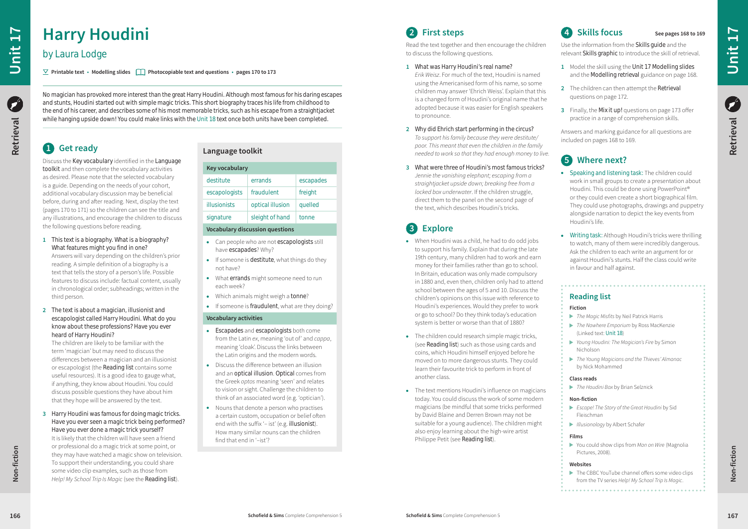### **Reading list**

#### **Fiction**

- *The Magic Misfits* by Neil Patrick Harris
- *The Nowhere Emporium* by Ross MacKenzie (Linked text: Unit 18)
- *Young Houdini: The Magician's Fire* by Simon Nicholson
- *The Young Magicians and the Thieves' Almanac* by Nick Mohammed

▶ You could show clips from *Man on Wire* (Magnolia Pictures, 2008).

 $\blacktriangleright$  The CBBC YouTube channel offers some video clips from the TV series *Help! My School Trip Is Magic*.

#### **Class reads**

*The Houdini Box* by Brian Selznick

#### **Non-fiction**

- *Escape! The Story of the Great Houdini* by Sid Fleischman
- *Illusionology* by Albert Schafer

#### **Films**

#### **Websites**

### **4 Skills focus See pages 168 to 169**

• Speaking and listening task: The children could work in small groups to create a presentation about Houdini. This could be done using PowerPoint® or they could even create a short biographical film. They could use photographs, drawings and puppetry alongside narration to depict the key events from Houdini's life.

Use the information from the Skills guide and the relevant Skills graphic to introduce the skill of retrieval.

• Writing task: Although Houdini's tricks were thrilling to watch, many of them were incredibly dangerous. Ask the children to each write an argument for or against Houdini's stunts. Half the class could write in favour and half against.

- **1** Model the skill using the Unit 17 Modelling slides and the Modelling retrieval guidance on page 168.
- **2** The children can then attempt the Retrieval questions on page 172.
- **3** Finally, the Mix it up! questions on page 173 offer practice in a range of comprehension skills.

Answers and marking guidance for all questions are included on pages 168 to 169.

### **5 Where next?**

# **2 First steps**

Read the text together and then encourage the children to discuss the following questions.

- When Houdini was a child, he had to do odd jobs to support his family. Explain that during the late 19th century, many children had to work and earn money for their families rather than go to school. In Britain, education was only made compulsory in 1880 and, even then, children only had to attend school between the ages of 5 and 10. Discuss the children's opinions on this issue with reference to Houdini's experiences. Would they prefer to work or go to school? Do they think today's education system is better or worse than that of 1880?
- $\bullet$  The children could research simple magic tricks, (see Reading list) such as those using cards and coins, which Houdini himself enjoyed before he moved on to more dangerous stunts. They could learn their favourite trick to perform in front of another class.
- The text mentions Houdini's influence on magicians today. You could discuss the work of some modern magicians (be mindful that some tricks performed by David Blaine and Derren Brown may not be suitable for a young audience). The children might also enjoy learning about the high-wire artist Philippe Petit (see Reading list).
- **1** What was Harry Houdini's real name? *Erik Weisz*. For much of the text, Houdini is named using the Americanised form of his name, so some children may answer 'Ehrich Weiss'. Explain that this is a changed form of Houdini's original name that he adopted because it was easier for English speakers to pronounce.
- **2** Why did Ehrich start performing in the circus? *To support his family because they were destitute/ poor. This meant that even the children in the family needed to work so that they had enough money to live.*
- **3** What were three of Houdini's most famous tricks? *Jennie the vanishing elephant; escaping from a straightjacket upside down; breaking free from a locked box underwater*. If the children struggle, direct them to the panel on the second page of the text, which describes Houdini's tricks.

# **3 Explore**

Ø Retrieval **Retrieval**

Non-fiction **Non-fiction**

- **Escapades and escapologists both come** from the Latin *ex*, meaning 'out of' and *cappa*, meaning 'cloak'. Discuss the links between the Latin origins and the modern words.
- Discuss the difference between an illusion and an optical illusion. Optical comes from the Greek *optos* meaning 'seen' and relates to vision or sight. Challenge the children to think of an associated word (e.g. 'optician').
- Nouns that denote a person who practises a certain custom, occupation or belief often end with the suffix '– ist' (e.g. illusionist). How many similar nouns can the children find that end in '–ist'?

# **1 Get ready**

Discuss the Key vocabulary identified in the Language toolkit and then complete the vocabulary activities as desired. Please note that the selected vocabulary is a guide. Depending on the needs of your cohort, additional vocabulary discussion may be beneficial before, during and after reading. Next, display the text (pages 170 to 171) so the children can see the title and any illustrations, and encourage the children to discuss the following questions before reading.

- **1** This text is a biography. What is a biography? What features might you find in one? Answers will vary depending on the children's prior reading. A simple definition of a biography is a text that tells the story of a person's life. Possible features to discuss include: factual content, usually in chronological order; subheadings; written in the third person.
- **2** The text is about a magician, illusionist and escapologist called Harry Houdini. What do you know about these professions? Have you ever heard of Harry Houdini?

The children are likely to be familiar with the term 'magician' but may need to discuss the differences between a magician and an illusionist or escapologist (the Reading list contains some useful resources). It is a good idea to gauge what, if anything, they know about Houdini. You could discuss possible questions they have about him that they hope will be answered by the text.

**3** Harry Houdini was famous for doing magic tricks. Have you ever seen a magic trick being performed? Have you ever done a magic trick yourself?

It is likely that the children will have seen a friend or professional do a magic trick at some point, or they may have watched a magic show on television. To support their understanding, you could share some video clip examples, such as those from *Help! My School Trip Is Magic* (see the Reading list).

**Non-fiction**

Non-fiction

No magician has provoked more interest than the great Harry Houdini. Although most famous for his daring escapes and stunts, Houdini started out with simple magic tricks. This short biography traces his life from childhood to the end of his career, and describes some of his most memorable tricks, such as his escape from a straightjacket while hanging upside down! You could make links with the Unit 18 text once both units have been completed.

**Printable text • Modelling slides Photocopiable text and questions • pages 170 to 173**

# **Harry Houdini**

# by Laura Lodge

| <b>Key vocabulary</b>           |                  |           |  |  |
|---------------------------------|------------------|-----------|--|--|
| destitute                       | errands          | escapades |  |  |
| escapologists                   | fraudulent       | freight   |  |  |
| <b>illusionists</b>             | optical illusion | quelled   |  |  |
| signature                       | sleight of hand  | tonne     |  |  |
| Vecahulary discussion questions |                  |           |  |  |

### **Vocabulary discussion questions**

- Can people who are not escapologists still have escapades? Why?
- **.** If someone is destitute, what things do they not have?
- What errands might someone need to run each week?
- Which animals might weigh a tonne?
- $\bullet$  If someone is fraudulent, what are they doing?

### **Vocabulary activities**

### **Language toolkit**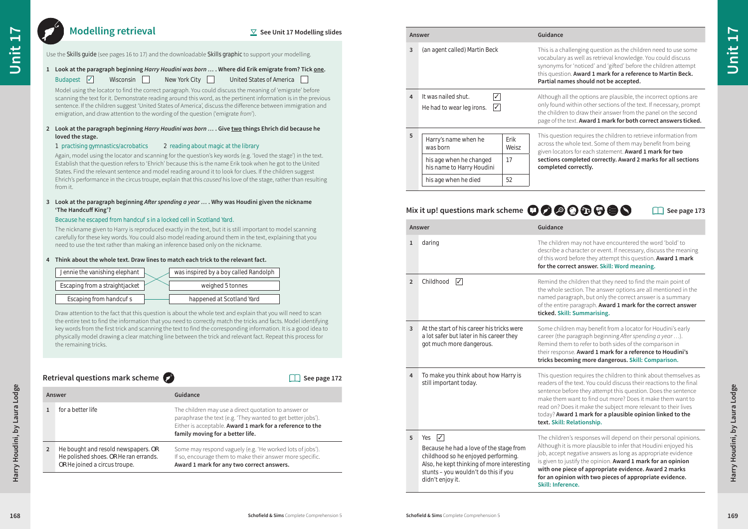|  |  |  | $Z$ See Unit 17 Modelling slides |
|--|--|--|----------------------------------|
|--|--|--|----------------------------------|

#### **1 Look at the paragraph beginning** *Harry Houdini was born …* **. Where did Erik emigrate from? Tick one.**

#### **2 Look at the paragraph beginning** *Harry Houdini was born …* **. Give two things Ehrich did because he loved the stage.**

#### 1 practising gymnastics/acrobatics 2 reading about magic at the library

#### **3 Look at the paragraph beginning** *After spending a year …* **. Why was Houdini given the nickname 'The Handcuff King'?**

#### Because he escaped from handcu s in a locked cell in Scotland Yard.

#### **4 Think about the whole text. Draw lines to match each trick to the relevant fact.**



## **Modelling retrieval**

| <b>Modelling retrieval</b>                                                                                                                                                                                                                                                                                                                                                                                                                                                                                                                                                                                                                                                                                  |                                                                                                                                                                                                                                                                                                                                                                                                                                                                                                                                                                                                             | $\vee$ See Unit 17 Modelling slides | Answer             |                                                                                                                                               | Guidance                                                                                                                                                                                                                                                                                                   |  |
|-------------------------------------------------------------------------------------------------------------------------------------------------------------------------------------------------------------------------------------------------------------------------------------------------------------------------------------------------------------------------------------------------------------------------------------------------------------------------------------------------------------------------------------------------------------------------------------------------------------------------------------------------------------------------------------------------------------|-------------------------------------------------------------------------------------------------------------------------------------------------------------------------------------------------------------------------------------------------------------------------------------------------------------------------------------------------------------------------------------------------------------------------------------------------------------------------------------------------------------------------------------------------------------------------------------------------------------|-------------------------------------|--------------------|-----------------------------------------------------------------------------------------------------------------------------------------------|------------------------------------------------------------------------------------------------------------------------------------------------------------------------------------------------------------------------------------------------------------------------------------------------------------|--|
| Budapest $\sqrt{\phantom{a}}$<br>Wisconsin                                                                                                                                                                                                                                                                                                                                                                                                                                                                                                                                                                                                                                                                  | Use the Skills guide (see pages 16 to 17) and the downloadable Skills graphic to support your modelling.<br>1 Look at the paragraph beginning Harry Houdini was born  . Where did Erik emigrate from? Tick one.<br>New York City $\Box$<br>United States of America                                                                                                                                                                                                                                                                                                                                         |                                     | 3                  | (an agent called) Martin Beck                                                                                                                 | This is a challenging question as the children need to use some<br>vocabulary as well as retrieval knowledge. You could discuss<br>synonyms for 'noticed' and 'gifted' before the children attempt<br>this question. Award 1 mark for a reference to Martin Beck.<br>Partial names should not be accepted. |  |
|                                                                                                                                                                                                                                                                                                                                                                                                                                                                                                                                                                                                                                                                                                             | Model using the locator to find the correct paragraph. You could discuss the meaning of 'emigrate' before<br>scanning the text for it. Demonstrate reading around this word, as the pertinent information is in the previous<br>sentence. If the children suggest 'United States of America', discuss the difference between immigration and<br>emigration, and draw attention to the wording of the question ('emigrate from').                                                                                                                                                                            |                                     |                    | $\sqrt{ }$<br>It was nailed shut.<br>$\sqrt{ }$<br>He had to wear leg irons.                                                                  | Although all the options are plausible, the incorrect options are<br>only found within other sections of the text. If necessary, prompt<br>the children to draw their answer from the panel on the second<br>page of the text. Award 1 mark for both correct answers ticked.                               |  |
| loved the stage.<br>1 practising gymnastics/acrobatics<br>from it.                                                                                                                                                                                                                                                                                                                                                                                                                                                                                                                                                                                                                                          | 2 Look at the paragraph beginning Harry Houdini was born  . Give two things Ehrich did because he<br>2 reading about magic at the library<br>Again, model using the locator and scanning for the question's key words (e.g. 'loved the stage') in the text.<br>Establish that the question refers to 'Ehrich' because this is the name Erik took when he got to the United<br>States. Find the relevant sentence and model reading around it to look for clues. If the children suggest<br>Ehrich's performance in the circus troupe, explain that this caused his love of the stage, rather than resulting |                                     |                    | Erik<br>Harry's name when he<br>Weisz<br>was born<br>17<br>his age when he changed<br>his name to Harry Houdini<br>52<br>his age when he died | This question requires the children to retrieve information from<br>across the whole text. Some of them may benefit from being<br>given locators for each statement. Award 1 mark for two<br>sections completed correctly. Award 2 marks for all sections<br>completed correctly.                          |  |
| 'The Handcuff King'?<br>Because he escaped from handcu s in a locked cell in Scotland Yard.                                                                                                                                                                                                                                                                                                                                                                                                                                                                                                                                                                                                                 | 3 Look at the paragraph beginning After spending a year  . Why was Houdini given the nickname                                                                                                                                                                                                                                                                                                                                                                                                                                                                                                               |                                     |                    |                                                                                                                                               | Mix it up! questions mark scheme <b>00000000</b><br>$\Box$ See page 173                                                                                                                                                                                                                                    |  |
|                                                                                                                                                                                                                                                                                                                                                                                                                                                                                                                                                                                                                                                                                                             | The nickname given to Harry is reproduced exactly in the text, but it is still important to model scanning                                                                                                                                                                                                                                                                                                                                                                                                                                                                                                  |                                     | Answer             |                                                                                                                                               | Guidance                                                                                                                                                                                                                                                                                                   |  |
| carefully for these key words. You could also model reading around them in the text, explaining that you<br>need to use the text rather than making an inference based only on the nickname.<br>Think about the whole text. Draw lines to match each trick to the relevant fact.<br>Jennie the vanishing elephant<br>was inspired by a boy called Randolph<br>Escaping from a straightjacket<br>weighed 5 tonnes<br>Escaping from handcu s<br>happened at Scotland Yard<br>Draw attention to the fact that this question is about the whole text and explain that you will need to scan<br>the entire text to find the information that you need to correctly match the tricks and facts. Model identifying |                                                                                                                                                                                                                                                                                                                                                                                                                                                                                                                                                                                                             |                                     | 1                  | daring                                                                                                                                        | The children may not have encountered the word 'bold' to<br>describe a character or event. If necessary, discuss the meaning<br>of this word before they attempt this question. Award 1 mark<br>for the correct answer. Skill: Word meaning.                                                               |  |
|                                                                                                                                                                                                                                                                                                                                                                                                                                                                                                                                                                                                                                                                                                             |                                                                                                                                                                                                                                                                                                                                                                                                                                                                                                                                                                                                             |                                     | $\overline{2}$     | Childhood $\sqrt{}$                                                                                                                           | Remind the children that they need to find the main point of<br>the whole section. The answer options are all mentioned in the<br>named paragraph, but only the correct answer is a summary<br>of the entire paragraph. Award 1 mark for the correct answer<br>ticked. Skill: Summarising.                 |  |
| the remaining tricks.                                                                                                                                                                                                                                                                                                                                                                                                                                                                                                                                                                                                                                                                                       | key words from the first trick and scanning the text to find the corresponding information. It is a good idea to<br>physically model drawing a clear matching line between the trick and relevant fact. Repeat this process for                                                                                                                                                                                                                                                                                                                                                                             |                                     | $\overline{3}$     | At the start of his career his tricks were<br>a lot safer but later in his career they<br>got much more dangerous.                            | Some children may benefit from a locator for Houdini's early<br>career (the paragraph beginning After spending a year ).<br>Remind them to refer to both sides of the comparison in<br>their response. Award 1 mark for a reference to Houdini's<br>tricks becoming more dangerous. Skill: Comparison.     |  |
|                                                                                                                                                                                                                                                                                                                                                                                                                                                                                                                                                                                                                                                                                                             |                                                                                                                                                                                                                                                                                                                                                                                                                                                                                                                                                                                                             |                                     |                    | To make you think about how Harry is                                                                                                          | This question requires the children to think about themselves as                                                                                                                                                                                                                                           |  |
|                                                                                                                                                                                                                                                                                                                                                                                                                                                                                                                                                                                                                                                                                                             |                                                                                                                                                                                                                                                                                                                                                                                                                                                                                                                                                                                                             | $\Box$ See page 172                 |                    | still important today.                                                                                                                        | readers of the text. You could discuss their reactions to the final                                                                                                                                                                                                                                        |  |
| Retrieval questions mark scheme $\bullet$<br>Answer                                                                                                                                                                                                                                                                                                                                                                                                                                                                                                                                                                                                                                                         | Guidance                                                                                                                                                                                                                                                                                                                                                                                                                                                                                                                                                                                                    |                                     |                    |                                                                                                                                               | sentence before they attempt this question. Does the sentence<br>make them want to find out more? Does it make them want to                                                                                                                                                                                |  |
| for a better life                                                                                                                                                                                                                                                                                                                                                                                                                                                                                                                                                                                                                                                                                           | The children may use a direct quotation to answer or<br>paraphrase the text (e.g. 'They wanted to get better jobs').<br>Either is acceptable. Award 1 mark for a reference to the                                                                                                                                                                                                                                                                                                                                                                                                                           |                                     |                    |                                                                                                                                               | read on? Does it make the subject more relevant to their lives<br>today? Award 1 mark for a plausible opinion linked to the<br>text. Skill: Relationship.                                                                                                                                                  |  |
|                                                                                                                                                                                                                                                                                                                                                                                                                                                                                                                                                                                                                                                                                                             | family moving for a better life.                                                                                                                                                                                                                                                                                                                                                                                                                                                                                                                                                                            |                                     | $5$ Yes $\sqrt{ }$ |                                                                                                                                               | The children's responses will depend on their personal opinions.<br>Although it is more plausible to infer that Houdini enjoyed his                                                                                                                                                                        |  |

$$
\textcolor{blue}{\mathbf{0000}}
$$

| Answer |                                                                                                               | Guidance                                                                                                                                                                                                              |  |
|--------|---------------------------------------------------------------------------------------------------------------|-----------------------------------------------------------------------------------------------------------------------------------------------------------------------------------------------------------------------|--|
|        | for a better life                                                                                             | The children may use a direct quotation to answer or<br>paraphrase the text (e.g. 'They wanted to get better jobs').<br>Either is acceptable. Award 1 mark for a reference to the<br>family moving for a better life. |  |
|        | He bought and resold newspapers. OR<br>He polished shoes. OR He ran errands.<br>OR He joined a circus troupe. | Some may respond vaguely (e.g. 'He worked lots of jobs').<br>If so, encourage them to make their answer more specific.<br>Award 1 mark for any two correct answers.                                                   |  |

|  |  | $\Box$ See page 172 |  |
|--|--|---------------------|--|
|--|--|---------------------|--|

### **Retrieval questions mark scheme**

|   | Answer                                                                              |                                                                   |                                                       |  |
|---|-------------------------------------------------------------------------------------|-------------------------------------------------------------------|-------------------------------------------------------|--|
| 3 | (an agent called) Martin Beck                                                       | This is a cl<br>vocabular<br>synonyms<br>this quest<br>Partial na |                                                       |  |
| 4 | It was nailed shut.<br>$\checkmark$<br>$ \mathcal{J} $<br>He had to wear leg irons. |                                                                   | Although a<br>only found<br>the childre<br>page of th |  |
| 5 | Harry's name when he<br>was born                                                    | Erik<br>Weisz                                                     | This quest<br>across the<br>given loca<br>sections    |  |
|   | 17<br>his age when he changed<br>his name to Harry Houdini                          |                                                                   | complete                                              |  |
|   | his age when he died                                                                | 52                                                                |                                                       |  |

| Jennie the vanishing elephant  | was inspired by a boy called Randolph |
|--------------------------------|---------------------------------------|
| Escaping from a straightjacket | weighed 5 tonnes                      |
| Escaping from handcu s         | happened at Scotland Yard             |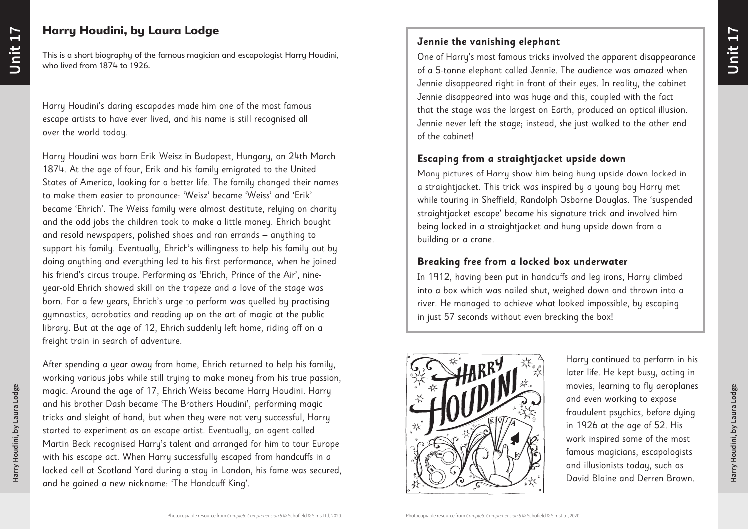**Harry Houdini, by Laura Lodge**

Harry Houdini, by Laura Lodge

**Unit 17**

# Harry Houdini, by Laura Lodge

This is a short biography of the famous magician and escapologist Harry Houdini, who lived from 1874 to 1926.

Harry Houdini's daring escapades made him one of the most famous escape artists to have ever lived, and his name is still recognised all over the world today.

Harry Houdini was born Erik Weisz in Budapest, Hungary, on 24th March 1874. At the age of four, Erik and his family emigrated to the United States of America, looking for a better life. The family changed their names to make them easier to pronounce: 'Weisz' became 'Weiss' and 'Erik' became 'Ehrich'. The Weiss family were almost destitute, relying on charity and the odd jobs the children took to make a little money. Ehrich bought and resold newspapers, polished shoes and ran errands – anything to support his family. Eventually, Ehrich's willingness to help his family out by doing anything and everything led to his first performance, when he joined his friend's circus troupe. Performing as 'Ehrich, Prince of the Air', nineyear-old Ehrich showed skill on the trapeze and a love of the stage was born. For a few years, Ehrich's urge to perform was quelled by practising gymnastics, acrobatics and reading up on the art of magic at the public library. But at the age of 12, Ehrich suddenly left home, riding off on a freight train in search of adventure.

After spending a year away from home, Ehrich returned to help his family, working various jobs while still trying to make money from his true passion, magic. Around the age of 17, Ehrich Weiss became Harry Houdini. Harry and his brother Dash became 'The Brothers Houdini', performing magic tricks and sleight of hand, but when they were not very successful, Harry started to experiment as an escape artist. Eventually, an agent called Martin Beck recognised Harry's talent and arranged for him to tour Europe with his escape act. When Harry successfully escaped from handcuffs in a locked cell at Scotland Yard during a stay in London, his fame was secured, and he gained a new nickname: 'The Handcuff King'.

Harry continued to perform in his later life. He kept busy, acting in movies, learning to fly aeroplanes and even working to expose fraudulent psychics, before dying in 1926 at the age of 52. His work inspired some of the most famous magicians, escapologists and illusionists today, such as David Blaine and Derren Brown.

# **Jennie the vanishing elephant**

One of Harry's most famous tricks involved the apparent disappearance of a 5-tonne elephant called Jennie. The audience was amazed when Jennie disappeared right in front of their eyes. In reality, the cabinet Jennie disappeared into was huge and this, coupled with the fact that the stage was the largest on Earth, produced an optical illusion. Jennie never left the stage; instead, she just walked to the other end of the cabinet!

### **Escaping from a straightjacket upside down**

Many pictures of Harry show him being hung upside down locked in a straightjacket. This trick was inspired by a young boy Harry met while touring in Sheffield, Randolph Osborne Douglas. The 'suspended straightjacket escape' became his signature trick and involved him being locked in a straightjacket and hung upside down from a building or a crane.

## **Breaking free from a locked box underwater**

In 1912, having been put in handcuffs and leg irons, Harry climbed into a box which was nailed shut, weighed down and thrown into a river. He managed to achieve what looked impossible, by escaping in just 57 seconds without even breaking the box!